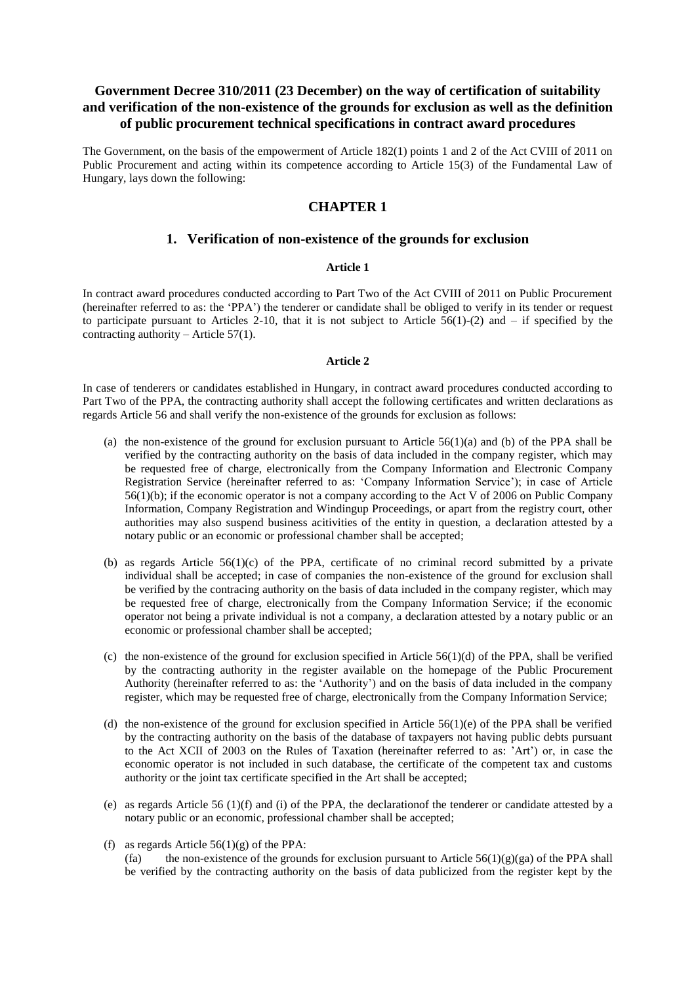# **Government Decree 310/2011 (23 December) on the way of certification of suitability and verification of the non-existence of the grounds for exclusion as well as the definition of public procurement technical specifications in contract award procedures**

The Government, on the basis of the empowerment of Article 182(1) points 1 and 2 of the Act CVIII of 2011 on Public Procurement and acting within its competence according to Article 15(3) of the Fundamental Law of Hungary, lays down the following:

# **CHAPTER 1**

## **1. Verification of non-existence of the grounds for exclusion**

## **Article 1**

In contract award procedures conducted according to Part Two of the Act CVIII of 2011 on Public Procurement (hereinafter referred to as: the "PPA") the tenderer or candidate shall be obliged to verify in its tender or request to participate pursuant to Articles 2-10, that it is not subject to Article  $\overline{56(1)}$ -(2) and – if specified by the contracting authority – Article 57(1).

### **Article 2**

In case of tenderers or candidates established in Hungary, in contract award procedures conducted according to Part Two of the PPA, the contracting authority shall accept the following certificates and written declarations as regards Article 56 and shall verify the non-existence of the grounds for exclusion as follows:

- (a) the non-existence of the ground for exclusion pursuant to Article  $56(1)(a)$  and (b) of the PPA shall be verified by the contracting authority on the basis of data included in the company register, which may be requested free of charge, electronically from the Company Information and Electronic Company Registration Service (hereinafter referred to as: "Company Information Service"); in case of Article 56(1)(b); if the economic operator is not a company according to the Act V of 2006 on Public Company Information, Company Registration and Windingup Proceedings, or apart from the registry court, other authorities may also suspend business acitivities of the entity in question, a declaration attested by a notary public or an economic or professional chamber shall be accepted;
- (b) as regards Article  $56(1)(c)$  of the PPA, certificate of no criminal record submitted by a private individual shall be accepted; in case of companies the non-existence of the ground for exclusion shall be verified by the contracing authority on the basis of data included in the company register, which may be requested free of charge, electronically from the Company Information Service; if the economic operator not being a private individual is not a company, a declaration attested by a notary public or an economic or professional chamber shall be accepted;
- (c) the non-existence of the ground for exclusion specified in Article  $56(1)(d)$  of the PPA, shall be verified by the contracting authority in the register available on the homepage of the Public Procurement Authority (hereinafter referred to as: the "Authority") and on the basis of data included in the company register, which may be requested free of charge, electronically from the Company Information Service;
- (d) the non-existence of the ground for exclusion specified in Article  $56(1)(e)$  of the PPA shall be verified by the contracting authority on the basis of the database of taxpayers not having public debts pursuant to the Act XCII of 2003 on the Rules of Taxation (hereinafter referred to as: "Art") or, in case the economic operator is not included in such database, the certificate of the competent tax and customs authority or the joint tax certificate specified in the Art shall be accepted;
- (e) as regards Article 56 (1)(f) and (i) of the PPA, the declarationof the tenderer or candidate attested by a notary public or an economic, professional chamber shall be accepted;
- (f) as regards Article  $56(1)(g)$  of the PPA: (fa) the non-existence of the grounds for exclusion pursuant to Article  $56(1)(g)(ga)$  of the PPA shall be verified by the contracting authority on the basis of data publicized from the register kept by the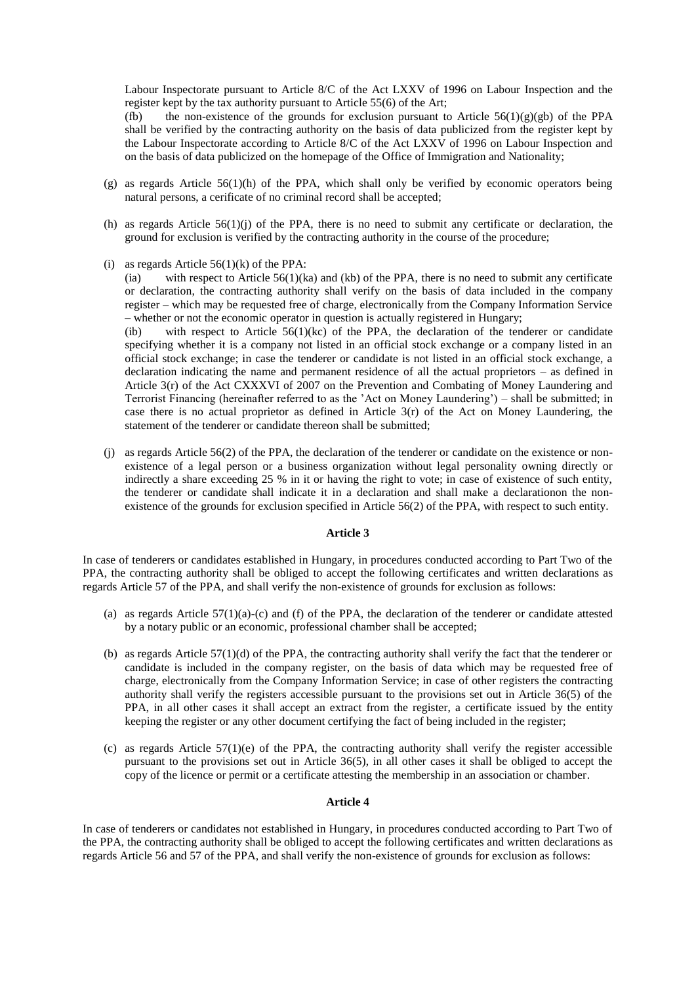Labour Inspectorate pursuant to Article 8/C of the Act LXXV of 1996 on Labour Inspection and the register kept by the tax authority pursuant to Article 55(6) of the Art;

(fb) the non-existence of the grounds for exclusion pursuant to Article  $56(1)(g)(gb)$  of the PPA shall be verified by the contracting authority on the basis of data publicized from the register kept by the Labour Inspectorate according to Article 8/C of the Act LXXV of 1996 on Labour Inspection and on the basis of data publicized on the homepage of the Office of Immigration and Nationality;

- (g) as regards Article 56(1)(h) of the PPA, which shall only be verified by economic operators being natural persons, a cerificate of no criminal record shall be accepted;
- (h) as regards Article 56(1)(j) of the PPA, there is no need to submit any certificate or declaration, the ground for exclusion is verified by the contracting authority in the course of the procedure;
- (i) as regards Article  $56(1)(k)$  of the PPA:

(ia) with respect to Article  $56(1)(ka)$  and (kb) of the PPA, there is no need to submit any certificate or declaration, the contracting authority shall verify on the basis of data included in the company register – which may be requested free of charge, electronically from the Company Information Service – whether or not the economic operator in question is actually registered in Hungary;

(ib) with respect to Article  $56(1)(kc)$  of the PPA, the declaration of the tenderer or candidate specifying whether it is a company not listed in an official stock exchange or a company listed in an official stock exchange; in case the tenderer or candidate is not listed in an official stock exchange, a declaration indicating the name and permanent residence of all the actual proprietors – as defined in Article 3(r) of the Act CXXXVI of 2007 on the Prevention and Combating of Money Laundering and Terrorist Financing (hereinafter referred to as the "Act on Money Laundering") – shall be submitted; in case there is no actual proprietor as defined in Article 3(r) of the Act on Money Laundering, the statement of the tenderer or candidate thereon shall be submitted;

(j) as regards Article 56(2) of the PPA, the declaration of the tenderer or candidate on the existence or nonexistence of a legal person or a business organization without legal personality owning directly or indirectly a share exceeding 25 % in it or having the right to vote; in case of existence of such entity, the tenderer or candidate shall indicate it in a declaration and shall make a declarationon the nonexistence of the grounds for exclusion specified in Article 56(2) of the PPA, with respect to such entity.

### **Article 3**

In case of tenderers or candidates established in Hungary, in procedures conducted according to Part Two of the PPA, the contracting authority shall be obliged to accept the following certificates and written declarations as regards Article 57 of the PPA, and shall verify the non-existence of grounds for exclusion as follows:

- (a) as regards Article  $57(1)(a)-(c)$  and (f) of the PPA, the declaration of the tenderer or candidate attested by a notary public or an economic, professional chamber shall be accepted;
- (b) as regards Article 57(1)(d) of the PPA, the contracting authority shall verify the fact that the tenderer or candidate is included in the company register, on the basis of data which may be requested free of charge, electronically from the Company Information Service; in case of other registers the contracting authority shall verify the registers accessible pursuant to the provisions set out in Article 36(5) of the PPA, in all other cases it shall accept an extract from the register, a certificate issued by the entity keeping the register or any other document certifying the fact of being included in the register;
- (c) as regards Article  $57(1)(e)$  of the PPA, the contracting authority shall verify the register accessible pursuant to the provisions set out in Article 36(5), in all other cases it shall be obliged to accept the copy of the licence or permit or a certificate attesting the membership in an association or chamber.

### **Article 4**

In case of tenderers or candidates not established in Hungary, in procedures conducted according to Part Two of the PPA, the contracting authority shall be obliged to accept the following certificates and written declarations as regards Article 56 and 57 of the PPA, and shall verify the non-existence of grounds for exclusion as follows: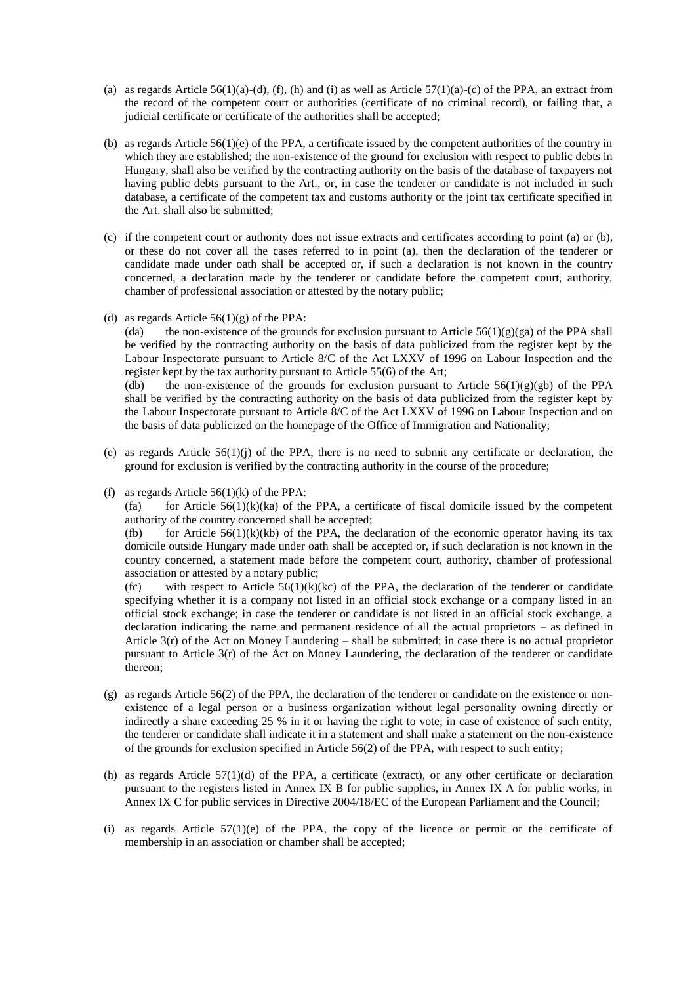- (a) as regards Article  $56(1)(a)-(d)$ , (f), (h) and (i) as well as Article  $57(1)(a)-(c)$  of the PPA, an extract from the record of the competent court or authorities (certificate of no criminal record), or failing that, a judicial certificate or certificate of the authorities shall be accepted;
- (b) as regards Article 56(1)(e) of the PPA, a certificate issued by the competent authorities of the country in which they are established; the non-existence of the ground for exclusion with respect to public debts in Hungary, shall also be verified by the contracting authority on the basis of the database of taxpayers not having public debts pursuant to the Art., or, in case the tenderer or candidate is not included in such database, a certificate of the competent tax and customs authority or the joint tax certificate specified in the Art. shall also be submitted;
- (c) if the competent court or authority does not issue extracts and certificates according to point (a) or (b), or these do not cover all the cases referred to in point (a), then the declaration of the tenderer or candidate made under oath shall be accepted or, if such a declaration is not known in the country concerned, a declaration made by the tenderer or candidate before the competent court, authority, chamber of professional association or attested by the notary public;
- (d) as regards Article  $56(1)(g)$  of the PPA:

(da) the non-existence of the grounds for exclusion pursuant to Article 56(1)(g)(ga) of the PPA shall be verified by the contracting authority on the basis of data publicized from the register kept by the Labour Inspectorate pursuant to Article 8/C of the Act LXXV of 1996 on Labour Inspection and the register kept by the tax authority pursuant to Article 55(6) of the Art;

(db) the non-existence of the grounds for exclusion pursuant to Article  $56(1)(g)(gb)$  of the PPA shall be verified by the contracting authority on the basis of data publicized from the register kept by the Labour Inspectorate pursuant to Article 8/C of the Act LXXV of 1996 on Labour Inspection and on the basis of data publicized on the homepage of the Office of Immigration and Nationality;

- (e) as regards Article  $56(1)(j)$  of the PPA, there is no need to submit any certificate or declaration, the ground for exclusion is verified by the contracting authority in the course of the procedure;
- (f) as regards Article  $56(1)(k)$  of the PPA:

(fa) for Article  $56(1)(k)(ka)$  of the PPA, a certificate of fiscal domicile issued by the competent authority of the country concerned shall be accepted;

(fb) for Article  $56(1)(k)(kb)$  of the PPA, the declaration of the economic operator having its tax domicile outside Hungary made under oath shall be accepted or, if such declaration is not known in the country concerned, a statement made before the competent court, authority, chamber of professional association or attested by a notary public;

(fc) with respect to Article  $56(1)(k)(kc)$  of the PPA, the declaration of the tenderer or candidate specifying whether it is a company not listed in an official stock exchange or a company listed in an official stock exchange; in case the tenderer or candidate is not listed in an official stock exchange, a declaration indicating the name and permanent residence of all the actual proprietors – as defined in Article 3(r) of the Act on Money Laundering – shall be submitted; in case there is no actual proprietor pursuant to Article  $3(r)$  of the Act on Money Laundering, the declaration of the tenderer or candidate thereon;

- (g) as regards Article 56(2) of the PPA, the declaration of the tenderer or candidate on the existence or nonexistence of a legal person or a business organization without legal personality owning directly or indirectly a share exceeding 25 % in it or having the right to vote; in case of existence of such entity, the tenderer or candidate shall indicate it in a statement and shall make a statement on the non-existence of the grounds for exclusion specified in Article 56(2) of the PPA, with respect to such entity;
- (h) as regards Article  $57(1)(d)$  of the PPA, a certificate (extract), or any other certificate or declaration pursuant to the registers listed in Annex IX B for public supplies, in Annex IX A for public works, in Annex IX C for public services in Directive 2004/18/EC of the European Parliament and the Council;
- (i) as regards Article  $57(1)(e)$  of the PPA, the copy of the licence or permit or the certificate of membership in an association or chamber shall be accepted;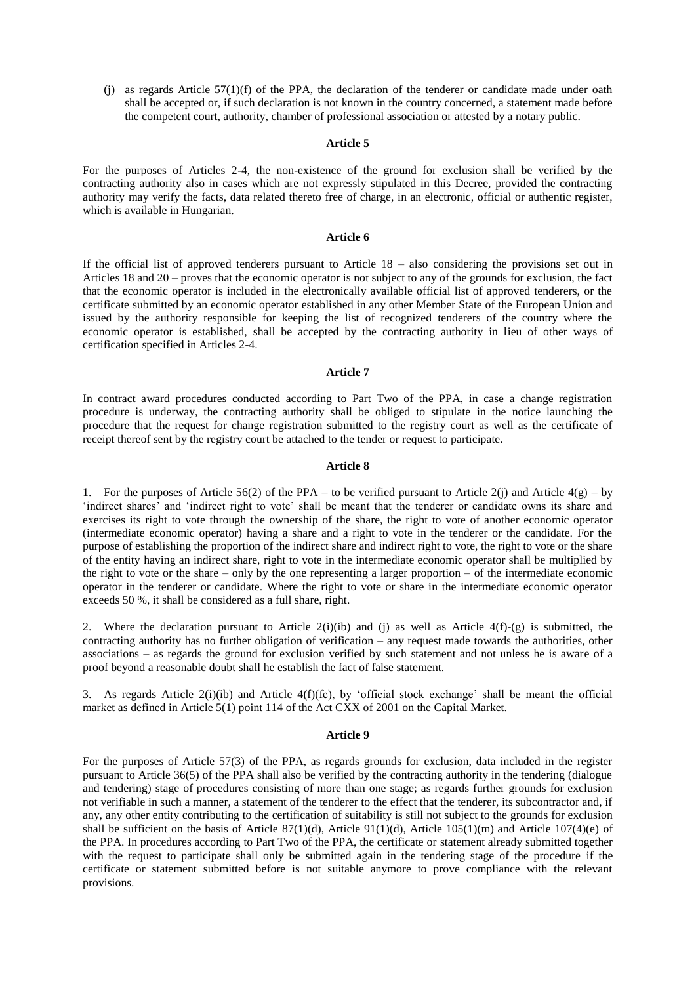(j) as regards Article 57(1)(f) of the PPA, the declaration of the tenderer or candidate made under oath shall be accepted or, if such declaration is not known in the country concerned, a statement made before the competent court, authority, chamber of professional association or attested by a notary public.

#### **Article 5**

For the purposes of Articles 2-4, the non-existence of the ground for exclusion shall be verified by the contracting authority also in cases which are not expressly stipulated in this Decree, provided the contracting authority may verify the facts, data related thereto free of charge, in an electronic, official or authentic register, which is available in Hungarian.

### **Article 6**

If the official list of approved tenderers pursuant to Article 18 – also considering the provisions set out in Articles 18 and 20 – proves that the economic operator is not subject to any of the grounds for exclusion, the fact that the economic operator is included in the electronically available official list of approved tenderers, or the certificate submitted by an economic operator established in any other Member State of the European Union and issued by the authority responsible for keeping the list of recognized tenderers of the country where the economic operator is established, shall be accepted by the contracting authority in lieu of other ways of certification specified in Articles 2-4.

### **Article 7**

In contract award procedures conducted according to Part Two of the PPA, in case a change registration procedure is underway, the contracting authority shall be obliged to stipulate in the notice launching the procedure that the request for change registration submitted to the registry court as well as the certificate of receipt thereof sent by the registry court be attached to the tender or request to participate.

### **Article 8**

1. For the purposes of Article 56(2) of the PPA – to be verified pursuant to Article 2(j) and Article 4(g) – by 'indirect shares' and 'indirect right to vote' shall be meant that the tenderer or candidate owns its share and exercises its right to vote through the ownership of the share, the right to vote of another economic operator (intermediate economic operator) having a share and a right to vote in the tenderer or the candidate. For the purpose of establishing the proportion of the indirect share and indirect right to vote, the right to vote or the share of the entity having an indirect share, right to vote in the intermediate economic operator shall be multiplied by the right to vote or the share – only by the one representing a larger proportion – of the intermediate economic operator in the tenderer or candidate. Where the right to vote or share in the intermediate economic operator exceeds 50 %, it shall be considered as a full share, right.

2. Where the declaration pursuant to Article  $2(i)(ib)$  and (j) as well as Article  $4(f)-(g)$  is submitted, the contracting authority has no further obligation of verification – any request made towards the authorities, other associations – as regards the ground for exclusion verified by such statement and not unless he is aware of a proof beyond a reasonable doubt shall he establish the fact of false statement.

3. As regards Article  $2(i)(ib)$  and Article  $4(f)(fc)$ , by 'official stock exchange' shall be meant the official market as defined in Article 5(1) point 114 of the Act CXX of 2001 on the Capital Market.

### **Article 9**

For the purposes of Article 57(3) of the PPA, as regards grounds for exclusion, data included in the register pursuant to Article 36(5) of the PPA shall also be verified by the contracting authority in the tendering (dialogue and tendering) stage of procedures consisting of more than one stage; as regards further grounds for exclusion not verifiable in such a manner, a statement of the tenderer to the effect that the tenderer, its subcontractor and, if any, any other entity contributing to the certification of suitability is still not subject to the grounds for exclusion shall be sufficient on the basis of Article 87(1)(d), Article 91(1)(d), Article 105(1)(m) and Article 107(4)(e) of the PPA. In procedures according to Part Two of the PPA, the certificate or statement already submitted together with the request to participate shall only be submitted again in the tendering stage of the procedure if the certificate or statement submitted before is not suitable anymore to prove compliance with the relevant provisions.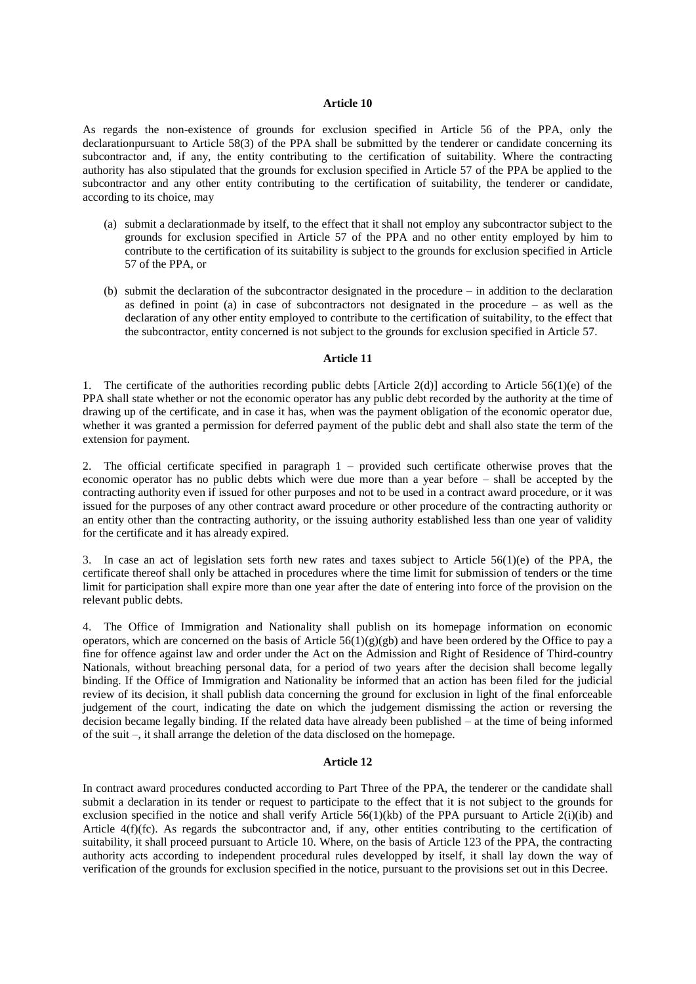### **Article 10**

As regards the non-existence of grounds for exclusion specified in Article 56 of the PPA, only the declarationpursuant to Article 58(3) of the PPA shall be submitted by the tenderer or candidate concerning its subcontractor and, if any, the entity contributing to the certification of suitability. Where the contracting authority has also stipulated that the grounds for exclusion specified in Article 57 of the PPA be applied to the subcontractor and any other entity contributing to the certification of suitability, the tenderer or candidate, according to its choice, may

- (a) submit a declarationmade by itself, to the effect that it shall not employ any subcontractor subject to the grounds for exclusion specified in Article 57 of the PPA and no other entity employed by him to contribute to the certification of its suitability is subject to the grounds for exclusion specified in Article 57 of the PPA, or
- (b) submit the declaration of the subcontractor designated in the procedure in addition to the declaration as defined in point (a) in case of subcontractors not designated in the procedure – as well as the declaration of any other entity employed to contribute to the certification of suitability, to the effect that the subcontractor, entity concerned is not subject to the grounds for exclusion specified in Article 57.

### **Article 11**

1. The certificate of the authorities recording public debts [Article 2(d)] according to Article 56(1)(e) of the PPA shall state whether or not the economic operator has any public debt recorded by the authority at the time of drawing up of the certificate, and in case it has, when was the payment obligation of the economic operator due, whether it was granted a permission for deferred payment of the public debt and shall also state the term of the extension for payment.

2. The official certificate specified in paragraph 1 – provided such certificate otherwise proves that the economic operator has no public debts which were due more than a year before – shall be accepted by the contracting authority even if issued for other purposes and not to be used in a contract award procedure, or it was issued for the purposes of any other contract award procedure or other procedure of the contracting authority or an entity other than the contracting authority, or the issuing authority established less than one year of validity for the certificate and it has already expired.

3. In case an act of legislation sets forth new rates and taxes subject to Article 56(1)(e) of the PPA, the certificate thereof shall only be attached in procedures where the time limit for submission of tenders or the time limit for participation shall expire more than one year after the date of entering into force of the provision on the relevant public debts.

4. The Office of Immigration and Nationality shall publish on its homepage information on economic operators, which are concerned on the basis of Article  $56(1)(g)(gb)$  and have been ordered by the Office to pay a fine for offence against law and order under the Act on the Admission and Right of Residence of Third-country Nationals, without breaching personal data, for a period of two years after the decision shall become legally binding. If the Office of Immigration and Nationality be informed that an action has been filed for the judicial review of its decision, it shall publish data concerning the ground for exclusion in light of the final enforceable judgement of the court, indicating the date on which the judgement dismissing the action or reversing the decision became legally binding. If the related data have already been published – at the time of being informed of the suit –, it shall arrange the deletion of the data disclosed on the homepage.

## **Article 12**

In contract award procedures conducted according to Part Three of the PPA, the tenderer or the candidate shall submit a declaration in its tender or request to participate to the effect that it is not subject to the grounds for exclusion specified in the notice and shall verify Article 56(1)(kb) of the PPA pursuant to Article 2(i)(ib) and Article 4(f)(fc). As regards the subcontractor and, if any, other entities contributing to the certification of suitability, it shall proceed pursuant to Article 10. Where, on the basis of Article 123 of the PPA, the contracting authority acts according to independent procedural rules developped by itself, it shall lay down the way of verification of the grounds for exclusion specified in the notice, pursuant to the provisions set out in this Decree.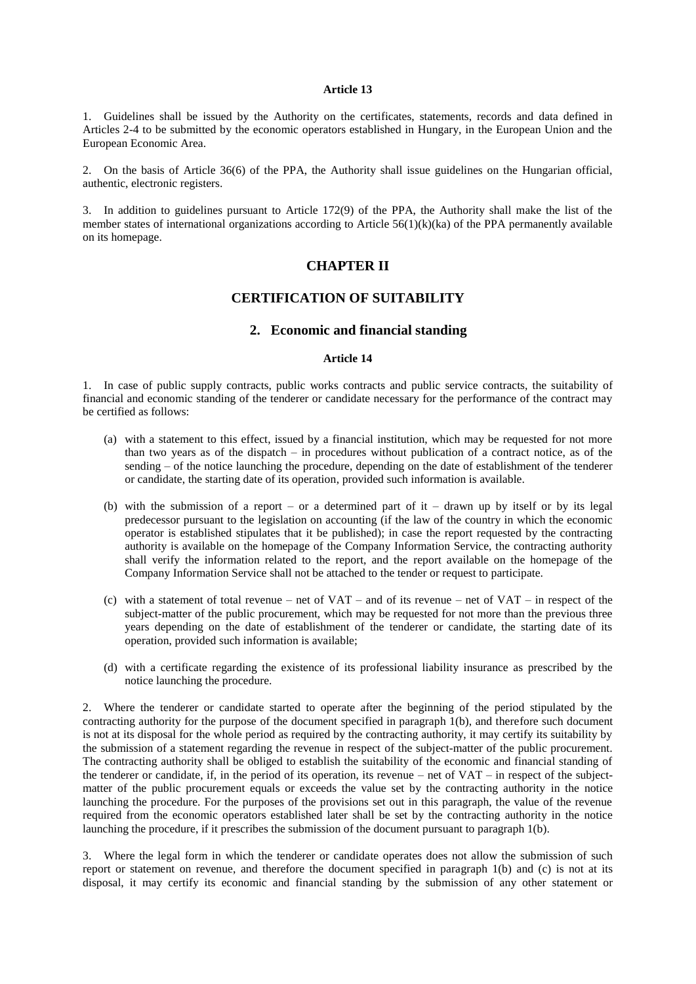### **Article 13**

1. Guidelines shall be issued by the Authority on the certificates, statements, records and data defined in Articles 2-4 to be submitted by the economic operators established in Hungary, in the European Union and the European Economic Area.

2. On the basis of Article 36(6) of the PPA, the Authority shall issue guidelines on the Hungarian official, authentic, electronic registers.

3. In addition to guidelines pursuant to Article 172(9) of the PPA, the Authority shall make the list of the member states of international organizations according to Article 56(1)(k)(ka) of the PPA permanently available on its homepage.

# **CHAPTER II**

# **CERTIFICATION OF SUITABILITY**

# **2. Economic and financial standing**

### **Article 14**

1. In case of public supply contracts, public works contracts and public service contracts, the suitability of financial and economic standing of the tenderer or candidate necessary for the performance of the contract may be certified as follows:

- (a) with a statement to this effect, issued by a financial institution, which may be requested for not more than two years as of the dispatch – in procedures without publication of a contract notice, as of the sending – of the notice launching the procedure, depending on the date of establishment of the tenderer or candidate, the starting date of its operation, provided such information is available.
- (b) with the submission of a report or a determined part of it drawn up by itself or by its legal predecessor pursuant to the legislation on accounting (if the law of the country in which the economic operator is established stipulates that it be published); in case the report requested by the contracting authority is available on the homepage of the Company Information Service, the contracting authority shall verify the information related to the report, and the report available on the homepage of the Company Information Service shall not be attached to the tender or request to participate.
- (c) with a statement of total revenue net of  $VAT$  and of its revenue net of  $VAT$  in respect of the subject-matter of the public procurement, which may be requested for not more than the previous three years depending on the date of establishment of the tenderer or candidate, the starting date of its operation, provided such information is available;
- (d) with a certificate regarding the existence of its professional liability insurance as prescribed by the notice launching the procedure.

2. Where the tenderer or candidate started to operate after the beginning of the period stipulated by the contracting authority for the purpose of the document specified in paragraph 1(b), and therefore such document is not at its disposal for the whole period as required by the contracting authority, it may certify its suitability by the submission of a statement regarding the revenue in respect of the subject-matter of the public procurement. The contracting authority shall be obliged to establish the suitability of the economic and financial standing of the tenderer or candidate, if, in the period of its operation, its revenue – net of VAT – in respect of the subjectmatter of the public procurement equals or exceeds the value set by the contracting authority in the notice launching the procedure. For the purposes of the provisions set out in this paragraph, the value of the revenue required from the economic operators established later shall be set by the contracting authority in the notice launching the procedure, if it prescribes the submission of the document pursuant to paragraph 1(b).

3. Where the legal form in which the tenderer or candidate operates does not allow the submission of such report or statement on revenue, and therefore the document specified in paragraph 1(b) and (c) is not at its disposal, it may certify its economic and financial standing by the submission of any other statement or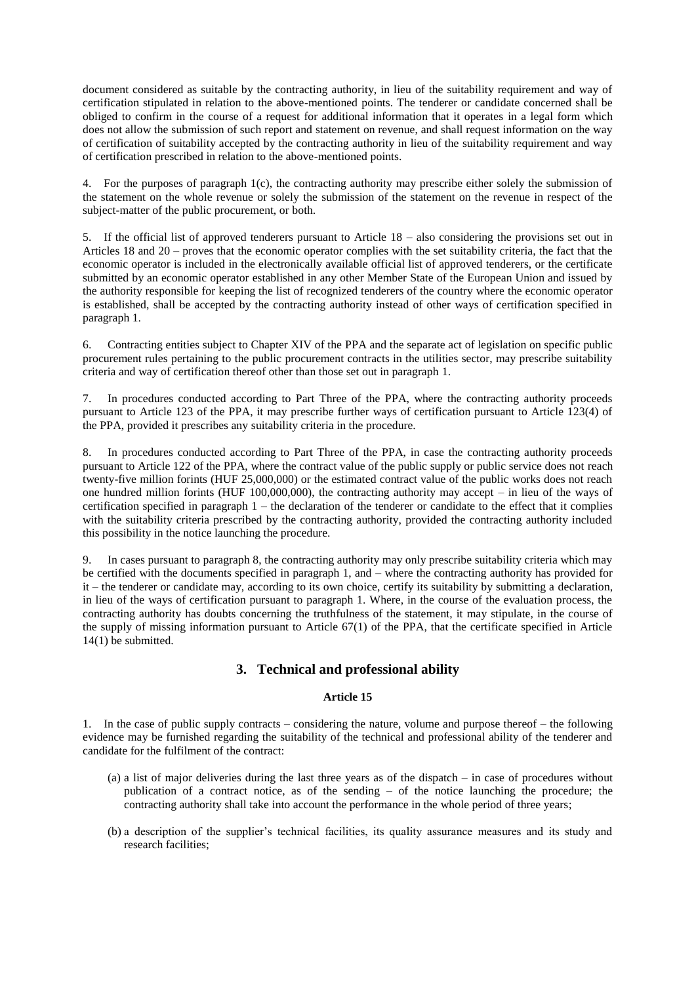document considered as suitable by the contracting authority, in lieu of the suitability requirement and way of certification stipulated in relation to the above-mentioned points. The tenderer or candidate concerned shall be obliged to confirm in the course of a request for additional information that it operates in a legal form which does not allow the submission of such report and statement on revenue, and shall request information on the way of certification of suitability accepted by the contracting authority in lieu of the suitability requirement and way of certification prescribed in relation to the above-mentioned points.

4. For the purposes of paragraph 1(c), the contracting authority may prescribe either solely the submission of the statement on the whole revenue or solely the submission of the statement on the revenue in respect of the subject-matter of the public procurement, or both.

5. If the official list of approved tenderers pursuant to Article 18 – also considering the provisions set out in Articles 18 and 20 – proves that the economic operator complies with the set suitability criteria, the fact that the economic operator is included in the electronically available official list of approved tenderers, or the certificate submitted by an economic operator established in any other Member State of the European Union and issued by the authority responsible for keeping the list of recognized tenderers of the country where the economic operator is established, shall be accepted by the contracting authority instead of other ways of certification specified in paragraph 1.

6. Contracting entities subject to Chapter XIV of the PPA and the separate act of legislation on specific public procurement rules pertaining to the public procurement contracts in the utilities sector, may prescribe suitability criteria and way of certification thereof other than those set out in paragraph 1.

7. In procedures conducted according to Part Three of the PPA, where the contracting authority proceeds pursuant to Article 123 of the PPA, it may prescribe further ways of certification pursuant to Article 123(4) of the PPA, provided it prescribes any suitability criteria in the procedure.

8. In procedures conducted according to Part Three of the PPA, in case the contracting authority proceeds pursuant to Article 122 of the PPA, where the contract value of the public supply or public service does not reach twenty-five million forints (HUF 25,000,000) or the estimated contract value of the public works does not reach one hundred million forints (HUF 100,000,000), the contracting authority may accept – in lieu of the ways of certification specified in paragraph 1 – the declaration of the tenderer or candidate to the effect that it complies with the suitability criteria prescribed by the contracting authority, provided the contracting authority included this possibility in the notice launching the procedure.

9. In cases pursuant to paragraph 8, the contracting authority may only prescribe suitability criteria which may be certified with the documents specified in paragraph 1, and – where the contracting authority has provided for it – the tenderer or candidate may, according to its own choice, certify its suitability by submitting a declaration, in lieu of the ways of certification pursuant to paragraph 1. Where, in the course of the evaluation process, the contracting authority has doubts concerning the truthfulness of the statement, it may stipulate, in the course of the supply of missing information pursuant to Article 67(1) of the PPA, that the certificate specified in Article 14(1) be submitted.

# **3. Technical and professional ability**

# **Article 15**

1. In the case of public supply contracts – considering the nature, volume and purpose thereof – the following evidence may be furnished regarding the suitability of the technical and professional ability of the tenderer and candidate for the fulfilment of the contract:

- (a) a list of major deliveries during the last three years as of the dispatch in case of procedures without publication of a contract notice, as of the sending – of the notice launching the procedure; the contracting authority shall take into account the performance in the whole period of three years;
- (b) a description of the supplier"s technical facilities, its quality assurance measures and its study and research facilities;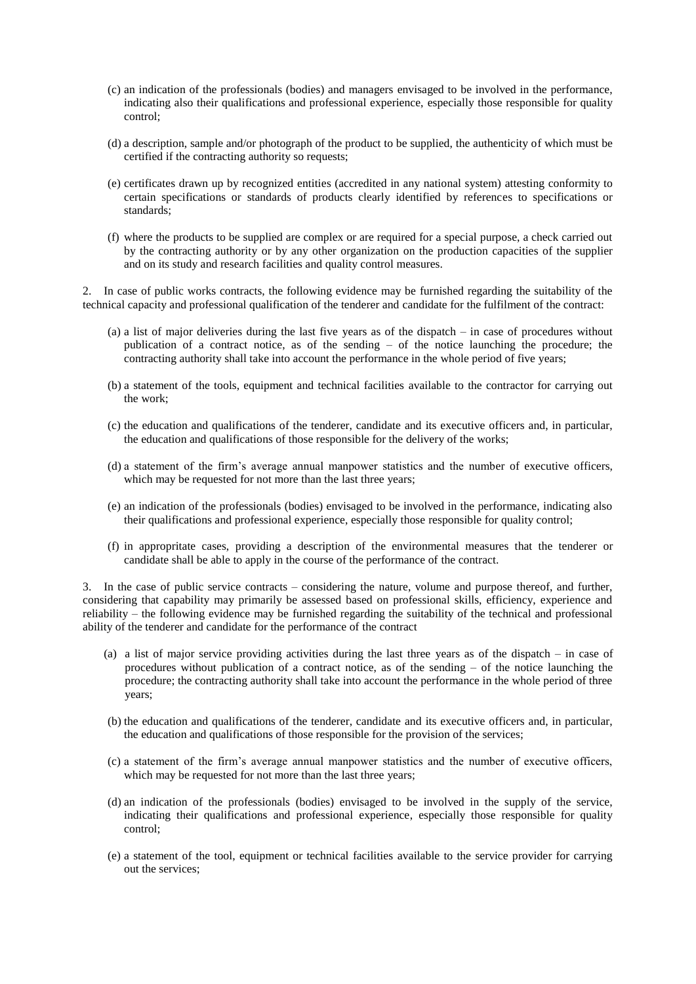- (c) an indication of the professionals (bodies) and managers envisaged to be involved in the performance, indicating also their qualifications and professional experience, especially those responsible for quality control;
- (d) a description, sample and/or photograph of the product to be supplied, the authenticity of which must be certified if the contracting authority so requests;
- (e) certificates drawn up by recognized entities (accredited in any national system) attesting conformity to certain specifications or standards of products clearly identified by references to specifications or standards;
- (f) where the products to be supplied are complex or are required for a special purpose, a check carried out by the contracting authority or by any other organization on the production capacities of the supplier and on its study and research facilities and quality control measures.

2. In case of public works contracts, the following evidence may be furnished regarding the suitability of the technical capacity and professional qualification of the tenderer and candidate for the fulfilment of the contract:

- (a) a list of major deliveries during the last five years as of the dispatch in case of procedures without publication of a contract notice, as of the sending – of the notice launching the procedure; the contracting authority shall take into account the performance in the whole period of five years;
- (b) a statement of the tools, equipment and technical facilities available to the contractor for carrying out the work;
- (c) the education and qualifications of the tenderer, candidate and its executive officers and, in particular, the education and qualifications of those responsible for the delivery of the works;
- (d) a statement of the firm"s average annual manpower statistics and the number of executive officers, which may be requested for not more than the last three years;
- (e) an indication of the professionals (bodies) envisaged to be involved in the performance, indicating also their qualifications and professional experience, especially those responsible for quality control;
- (f) in appropritate cases, providing a description of the environmental measures that the tenderer or candidate shall be able to apply in the course of the performance of the contract.

3. In the case of public service contracts – considering the nature, volume and purpose thereof, and further, considering that capability may primarily be assessed based on professional skills, efficiency, experience and reliability – the following evidence may be furnished regarding the suitability of the technical and professional ability of the tenderer and candidate for the performance of the contract

- (a) a list of major service providing activities during the last three years as of the dispatch in case of procedures without publication of a contract notice, as of the sending – of the notice launching the procedure; the contracting authority shall take into account the performance in the whole period of three years;
- (b) the education and qualifications of the tenderer, candidate and its executive officers and, in particular, the education and qualifications of those responsible for the provision of the services;
- (c) a statement of the firm"s average annual manpower statistics and the number of executive officers, which may be requested for not more than the last three years;
- (d) an indication of the professionals (bodies) envisaged to be involved in the supply of the service, indicating their qualifications and professional experience, especially those responsible for quality control;
- (e) a statement of the tool, equipment or technical facilities available to the service provider for carrying out the services;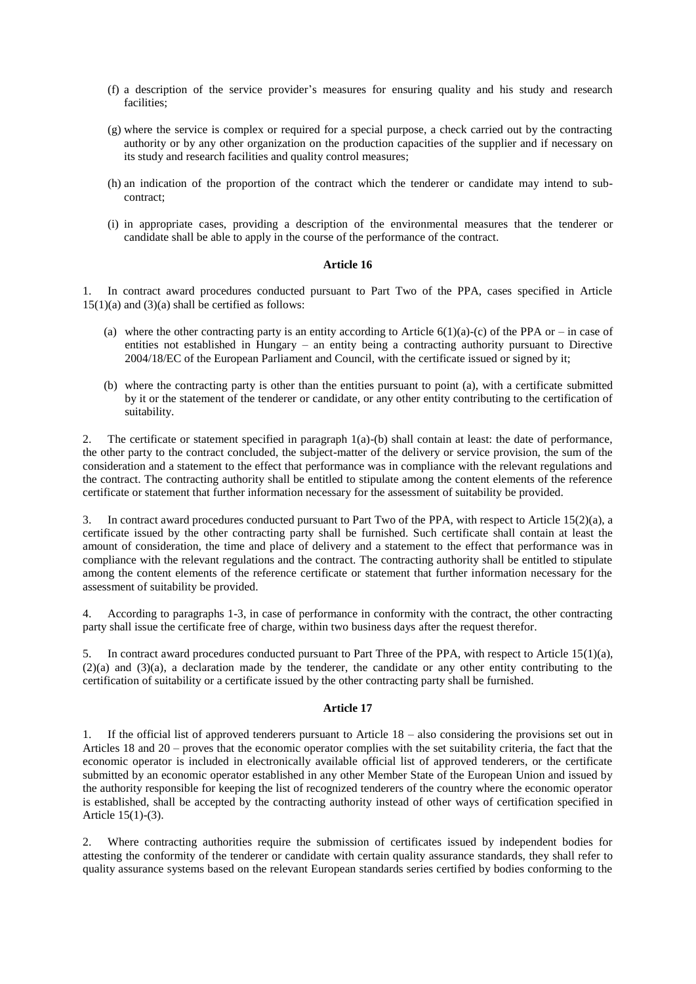- (f) a description of the service provider"s measures for ensuring quality and his study and research facilities;
- (g) where the service is complex or required for a special purpose, a check carried out by the contracting authority or by any other organization on the production capacities of the supplier and if necessary on its study and research facilities and quality control measures;
- (h) an indication of the proportion of the contract which the tenderer or candidate may intend to subcontract;
- (i) in appropriate cases, providing a description of the environmental measures that the tenderer or candidate shall be able to apply in the course of the performance of the contract.

### **Article 16**

1. In contract award procedures conducted pursuant to Part Two of the PPA, cases specified in Article  $15(1)(a)$  and  $(3)(a)$  shall be certified as follows:

- (a) where the other contracting party is an entity according to Article  $6(1)(a)-(c)$  of the PPA or in case of entities not established in Hungary – an entity being a contracting authority pursuant to Directive 2004/18/EC of the European Parliament and Council, with the certificate issued or signed by it;
- (b) where the contracting party is other than the entities pursuant to point (a), with a certificate submitted by it or the statement of the tenderer or candidate, or any other entity contributing to the certification of suitability.

2. The certificate or statement specified in paragraph 1(a)-(b) shall contain at least: the date of performance, the other party to the contract concluded, the subject-matter of the delivery or service provision, the sum of the consideration and a statement to the effect that performance was in compliance with the relevant regulations and the contract. The contracting authority shall be entitled to stipulate among the content elements of the reference certificate or statement that further information necessary for the assessment of suitability be provided.

3. In contract award procedures conducted pursuant to Part Two of the PPA, with respect to Article 15(2)(a), a certificate issued by the other contracting party shall be furnished. Such certificate shall contain at least the amount of consideration, the time and place of delivery and a statement to the effect that performance was in compliance with the relevant regulations and the contract. The contracting authority shall be entitled to stipulate among the content elements of the reference certificate or statement that further information necessary for the assessment of suitability be provided.

4. According to paragraphs 1-3, in case of performance in conformity with the contract, the other contracting party shall issue the certificate free of charge, within two business days after the request therefor.

In contract award procedures conducted pursuant to Part Three of the PPA, with respect to Article 15(1)(a), (2)(a) and (3)(a), a declaration made by the tenderer, the candidate or any other entity contributing to the certification of suitability or a certificate issued by the other contracting party shall be furnished.

### **Article 17**

1. If the official list of approved tenderers pursuant to Article 18 – also considering the provisions set out in Articles 18 and 20 – proves that the economic operator complies with the set suitability criteria, the fact that the economic operator is included in electronically available official list of approved tenderers, or the certificate submitted by an economic operator established in any other Member State of the European Union and issued by the authority responsible for keeping the list of recognized tenderers of the country where the economic operator is established, shall be accepted by the contracting authority instead of other ways of certification specified in Article 15(1)-(3).

2. Where contracting authorities require the submission of certificates issued by independent bodies for attesting the conformity of the tenderer or candidate with certain quality assurance standards, they shall refer to quality assurance systems based on the relevant European standards series certified by bodies conforming to the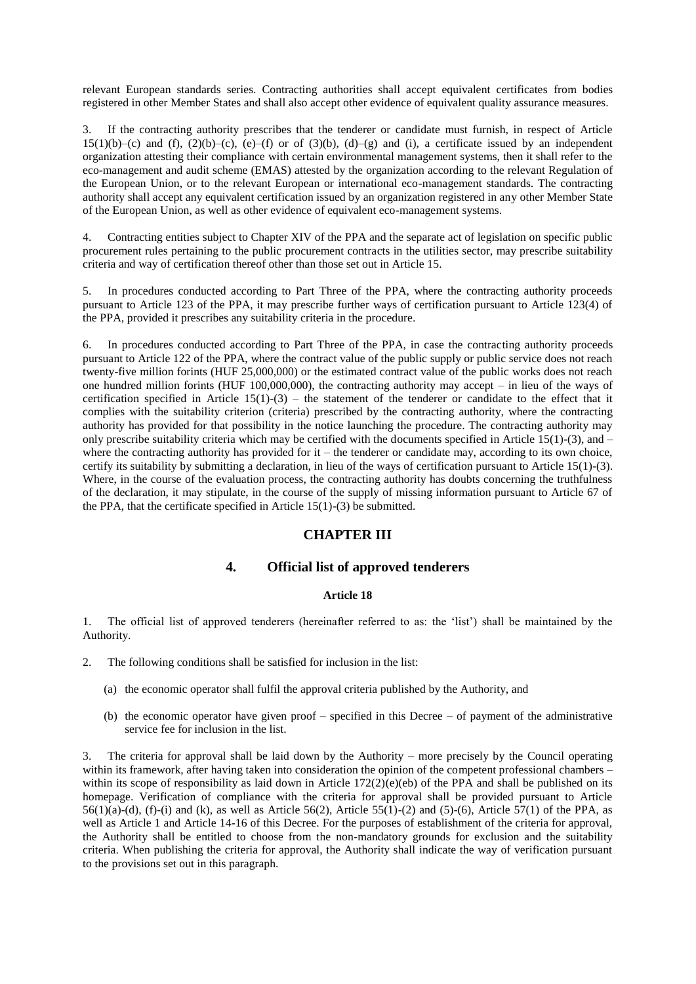relevant European standards series. Contracting authorities shall accept equivalent certificates from bodies registered in other Member States and shall also accept other evidence of equivalent quality assurance measures.

3. If the contracting authority prescribes that the tenderer or candidate must furnish, in respect of Article  $15(1)(b)-(c)$  and (f),  $(2)(b)-(c)$ ,  $(e)-(f)$  or of  $(3)(b)$ ,  $(d)-(g)$  and (i), a certificate issued by an independent organization attesting their compliance with certain environmental management systems, then it shall refer to the eco-management and audit scheme (EMAS) attested by the organization according to the relevant Regulation of the European Union, or to the relevant European or international eco-management standards. The contracting authority shall accept any equivalent certification issued by an organization registered in any other Member State of the European Union, as well as other evidence of equivalent eco-management systems.

4. Contracting entities subject to Chapter XIV of the PPA and the separate act of legislation on specific public procurement rules pertaining to the public procurement contracts in the utilities sector, may prescribe suitability criteria and way of certification thereof other than those set out in Article 15.

5. In procedures conducted according to Part Three of the PPA, where the contracting authority proceeds pursuant to Article 123 of the PPA, it may prescribe further ways of certification pursuant to Article 123(4) of the PPA, provided it prescribes any suitability criteria in the procedure.

6. In procedures conducted according to Part Three of the PPA, in case the contracting authority proceeds pursuant to Article 122 of the PPA, where the contract value of the public supply or public service does not reach twenty-five million forints (HUF 25,000,000) or the estimated contract value of the public works does not reach one hundred million forints (HUF 100,000,000), the contracting authority may accept – in lieu of the ways of certification specified in Article  $15(1)-(3)$  – the statement of the tenderer or candidate to the effect that it complies with the suitability criterion (criteria) prescribed by the contracting authority, where the contracting authority has provided for that possibility in the notice launching the procedure. The contracting authority may only prescribe suitability criteria which may be certified with the documents specified in Article 15(1)-(3), and  $$ where the contracting authority has provided for it – the tenderer or candidate may, according to its own choice, certify its suitability by submitting a declaration, in lieu of the ways of certification pursuant to Article 15(1)-(3). Where, in the course of the evaluation process, the contracting authority has doubts concerning the truthfulness of the declaration, it may stipulate, in the course of the supply of missing information pursuant to Article 67 of the PPA, that the certificate specified in Article  $15(1)-(3)$  be submitted.

# **CHAPTER III**

## **4. Official list of approved tenderers**

## **Article 18**

1. The official list of approved tenderers (hereinafter referred to as: the "list") shall be maintained by the Authority.

- 2. The following conditions shall be satisfied for inclusion in the list:
	- (a) the economic operator shall fulfil the approval criteria published by the Authority, and
	- (b) the economic operator have given proof specified in this Decree of payment of the administrative service fee for inclusion in the list.

3. The criteria for approval shall be laid down by the Authority – more precisely by the Council operating within its framework, after having taken into consideration the opinion of the competent professional chambers – within its scope of responsibility as laid down in Article  $172(2)(e)(eb)$  of the PPA and shall be published on its homepage. Verification of compliance with the criteria for approval shall be provided pursuant to Article  $56(1)(a)-(d)$ , (f)-(i) and (k), as well as Article  $56(2)$ , Article  $55(1)-(2)$  and  $(5)-(6)$ , Article  $57(1)$  of the PPA, as well as Article 1 and Article 14-16 of this Decree. For the purposes of establishment of the criteria for approval, the Authority shall be entitled to choose from the non-mandatory grounds for exclusion and the suitability criteria. When publishing the criteria for approval, the Authority shall indicate the way of verification pursuant to the provisions set out in this paragraph.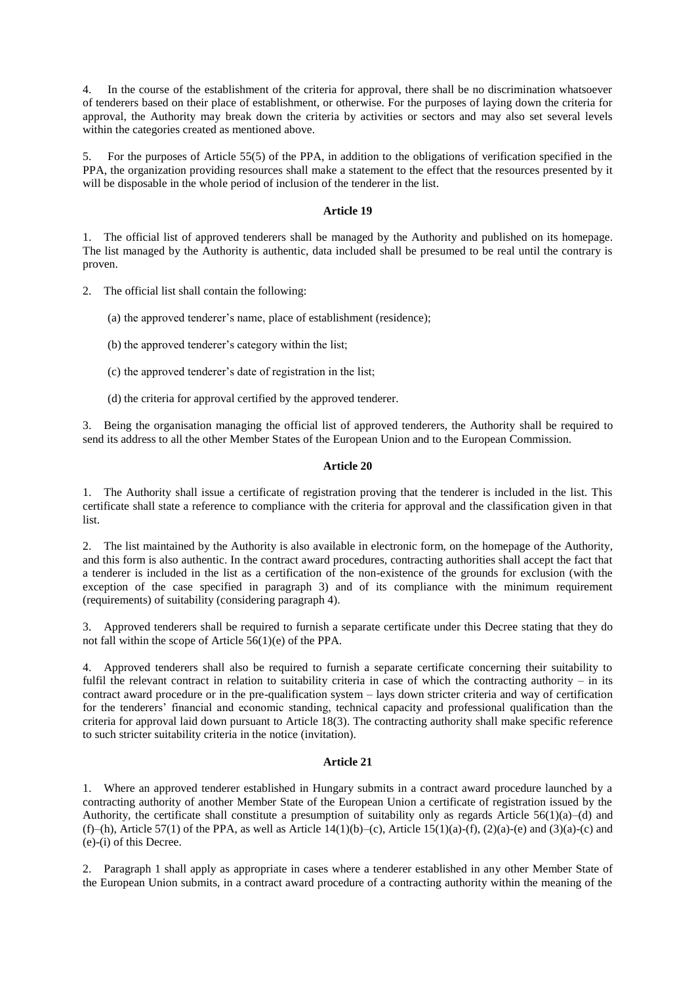4. In the course of the establishment of the criteria for approval, there shall be no discrimination whatsoever of tenderers based on their place of establishment, or otherwise. For the purposes of laying down the criteria for approval, the Authority may break down the criteria by activities or sectors and may also set several levels within the categories created as mentioned above.

5. For the purposes of Article 55(5) of the PPA, in addition to the obligations of verification specified in the PPA, the organization providing resources shall make a statement to the effect that the resources presented by it will be disposable in the whole period of inclusion of the tenderer in the list.

## **Article 19**

1. The official list of approved tenderers shall be managed by the Authority and published on its homepage. The list managed by the Authority is authentic, data included shall be presumed to be real until the contrary is proven.

2. The official list shall contain the following:

(a) the approved tenderer"s name, place of establishment (residence);

- (b) the approved tenderer"s category within the list;
- (c) the approved tenderer"s date of registration in the list;
- (d) the criteria for approval certified by the approved tenderer.

3. Being the organisation managing the official list of approved tenderers, the Authority shall be required to send its address to all the other Member States of the European Union and to the European Commission.

### **Article 20**

1. The Authority shall issue a certificate of registration proving that the tenderer is included in the list. This certificate shall state a reference to compliance with the criteria for approval and the classification given in that list.

2. The list maintained by the Authority is also available in electronic form, on the homepage of the Authority, and this form is also authentic. In the contract award procedures, contracting authorities shall accept the fact that a tenderer is included in the list as a certification of the non-existence of the grounds for exclusion (with the exception of the case specified in paragraph 3) and of its compliance with the minimum requirement (requirements) of suitability (considering paragraph 4).

3. Approved tenderers shall be required to furnish a separate certificate under this Decree stating that they do not fall within the scope of Article 56(1)(e) of the PPA.

4. Approved tenderers shall also be required to furnish a separate certificate concerning their suitability to fulfil the relevant contract in relation to suitability criteria in case of which the contracting authority – in its contract award procedure or in the pre-qualification system – lays down stricter criteria and way of certification for the tenderers" financial and economic standing, technical capacity and professional qualification than the criteria for approval laid down pursuant to Article 18(3). The contracting authority shall make specific reference to such stricter suitability criteria in the notice (invitation).

### **Article 21**

1. Where an approved tenderer established in Hungary submits in a contract award procedure launched by a contracting authority of another Member State of the European Union a certificate of registration issued by the Authority, the certificate shall constitute a presumption of suitability only as regards Article 56(1)(a)–(d) and (f)–(h), Article 57(1) of the PPA, as well as Article 14(1)(b)–(c), Article 15(1)(a)-(f), (2)(a)-(e) and (3)(a)-(c) and (e)-(i) of this Decree.

2. Paragraph 1 shall apply as appropriate in cases where a tenderer established in any other Member State of the European Union submits, in a contract award procedure of a contracting authority within the meaning of the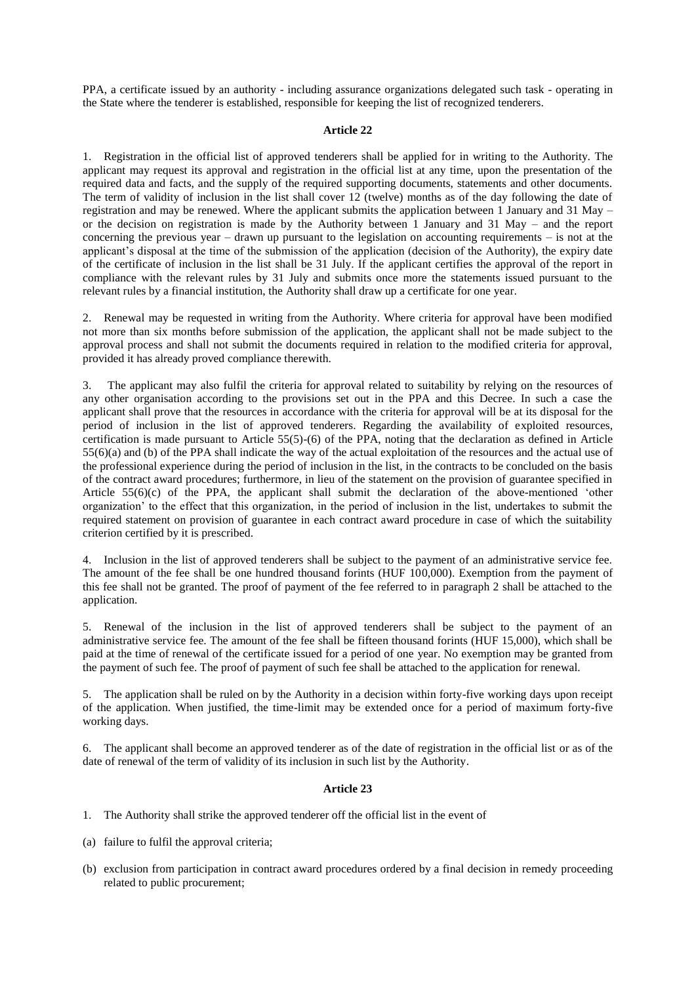PPA, a certificate issued by an authority - including assurance organizations delegated such task - operating in the State where the tenderer is established, responsible for keeping the list of recognized tenderers.

### **Article 22**

1. Registration in the official list of approved tenderers shall be applied for in writing to the Authority. The applicant may request its approval and registration in the official list at any time, upon the presentation of the required data and facts, and the supply of the required supporting documents, statements and other documents. The term of validity of inclusion in the list shall cover 12 (twelve) months as of the day following the date of registration and may be renewed. Where the applicant submits the application between 1 January and 31 May – or the decision on registration is made by the Authority between 1 January and 31 May – and the report concerning the previous year – drawn up pursuant to the legislation on accounting requirements – is not at the applicant's disposal at the time of the submission of the application (decision of the Authority), the expiry date of the certificate of inclusion in the list shall be 31 July. If the applicant certifies the approval of the report in compliance with the relevant rules by 31 July and submits once more the statements issued pursuant to the relevant rules by a financial institution, the Authority shall draw up a certificate for one year.

2. Renewal may be requested in writing from the Authority. Where criteria for approval have been modified not more than six months before submission of the application, the applicant shall not be made subject to the approval process and shall not submit the documents required in relation to the modified criteria for approval, provided it has already proved compliance therewith.

3. The applicant may also fulfil the criteria for approval related to suitability by relying on the resources of any other organisation according to the provisions set out in the PPA and this Decree. In such a case the applicant shall prove that the resources in accordance with the criteria for approval will be at its disposal for the period of inclusion in the list of approved tenderers. Regarding the availability of exploited resources, certification is made pursuant to Article 55(5)-(6) of the PPA, noting that the declaration as defined in Article 55(6)(a) and (b) of the PPA shall indicate the way of the actual exploitation of the resources and the actual use of the professional experience during the period of inclusion in the list, in the contracts to be concluded on the basis of the contract award procedures; furthermore, in lieu of the statement on the provision of guarantee specified in Article 55(6)(c) of the PPA, the applicant shall submit the declaration of the above-mentioned "other organization" to the effect that this organization, in the period of inclusion in the list, undertakes to submit the required statement on provision of guarantee in each contract award procedure in case of which the suitability criterion certified by it is prescribed.

4. Inclusion in the list of approved tenderers shall be subject to the payment of an administrative service fee. The amount of the fee shall be one hundred thousand forints (HUF 100,000). Exemption from the payment of this fee shall not be granted. The proof of payment of the fee referred to in paragraph 2 shall be attached to the application.

5. Renewal of the inclusion in the list of approved tenderers shall be subject to the payment of an administrative service fee. The amount of the fee shall be fifteen thousand forints (HUF 15,000), which shall be paid at the time of renewal of the certificate issued for a period of one year. No exemption may be granted from the payment of such fee. The proof of payment of such fee shall be attached to the application for renewal.

5. The application shall be ruled on by the Authority in a decision within forty-five working days upon receipt of the application. When justified, the time-limit may be extended once for a period of maximum forty-five working days.

6. The applicant shall become an approved tenderer as of the date of registration in the official list or as of the date of renewal of the term of validity of its inclusion in such list by the Authority.

### **Article 23**

- 1. The Authority shall strike the approved tenderer off the official list in the event of
- (a) failure to fulfil the approval criteria;
- (b) exclusion from participation in contract award procedures ordered by a final decision in remedy proceeding related to public procurement;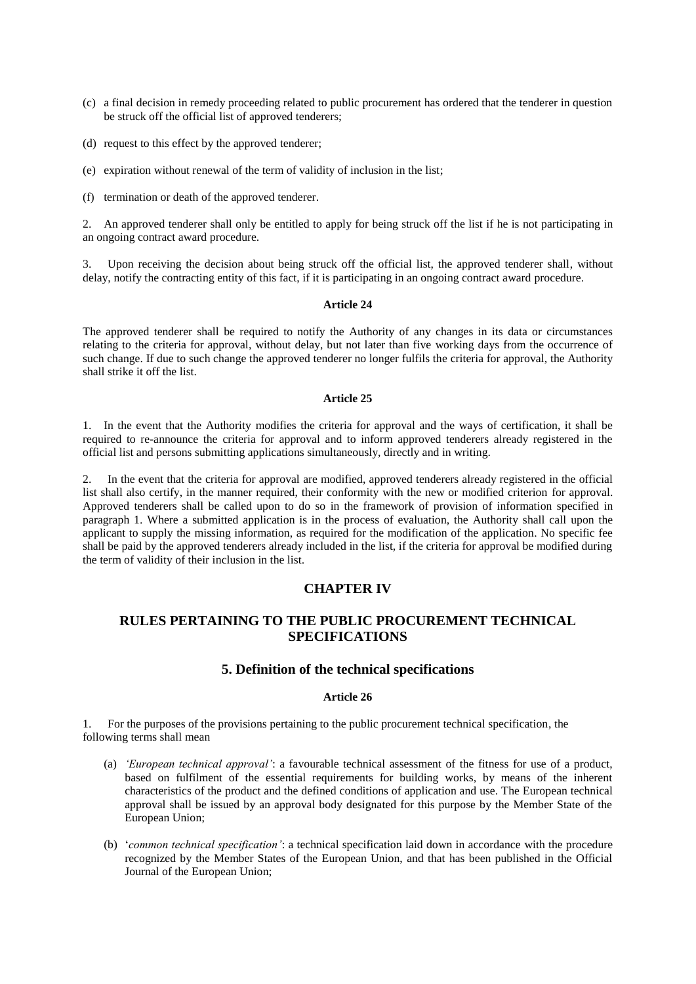(c) a final decision in remedy proceeding related to public procurement has ordered that the tenderer in question be struck off the official list of approved tenderers;

(d) request to this effect by the approved tenderer;

(e) expiration without renewal of the term of validity of inclusion in the list;

(f) termination or death of the approved tenderer.

2. An approved tenderer shall only be entitled to apply for being struck off the list if he is not participating in an ongoing contract award procedure.

3. Upon receiving the decision about being struck off the official list, the approved tenderer shall, without delay, notify the contracting entity of this fact, if it is participating in an ongoing contract award procedure.

### **Article 24**

The approved tenderer shall be required to notify the Authority of any changes in its data or circumstances relating to the criteria for approval, without delay, but not later than five working days from the occurrence of such change. If due to such change the approved tenderer no longer fulfils the criteria for approval, the Authority shall strike it off the list.

### **Article 25**

1. In the event that the Authority modifies the criteria for approval and the ways of certification, it shall be required to re-announce the criteria for approval and to inform approved tenderers already registered in the official list and persons submitting applications simultaneously, directly and in writing.

2. In the event that the criteria for approval are modified, approved tenderers already registered in the official list shall also certify, in the manner required, their conformity with the new or modified criterion for approval. Approved tenderers shall be called upon to do so in the framework of provision of information specified in paragraph 1. Where a submitted application is in the process of evaluation, the Authority shall call upon the applicant to supply the missing information, as required for the modification of the application. No specific fee shall be paid by the approved tenderers already included in the list, if the criteria for approval be modified during the term of validity of their inclusion in the list.

# **CHAPTER IV**

# **RULES PERTAINING TO THE PUBLIC PROCUREMENT TECHNICAL SPECIFICATIONS**

## **5. Definition of the technical specifications**

### **Article 26**

1. For the purposes of the provisions pertaining to the public procurement technical specification, the following terms shall mean

- (a) *'European technical approval'*: a favourable technical assessment of the fitness for use of a product, based on fulfilment of the essential requirements for building works, by means of the inherent characteristics of the product and the defined conditions of application and use. The European technical approval shall be issued by an approval body designated for this purpose by the Member State of the European Union;
- (b) "*common technical specification'*: a technical specification laid down in accordance with the procedure recognized by the Member States of the European Union, and that has been published in the Official Journal of the European Union;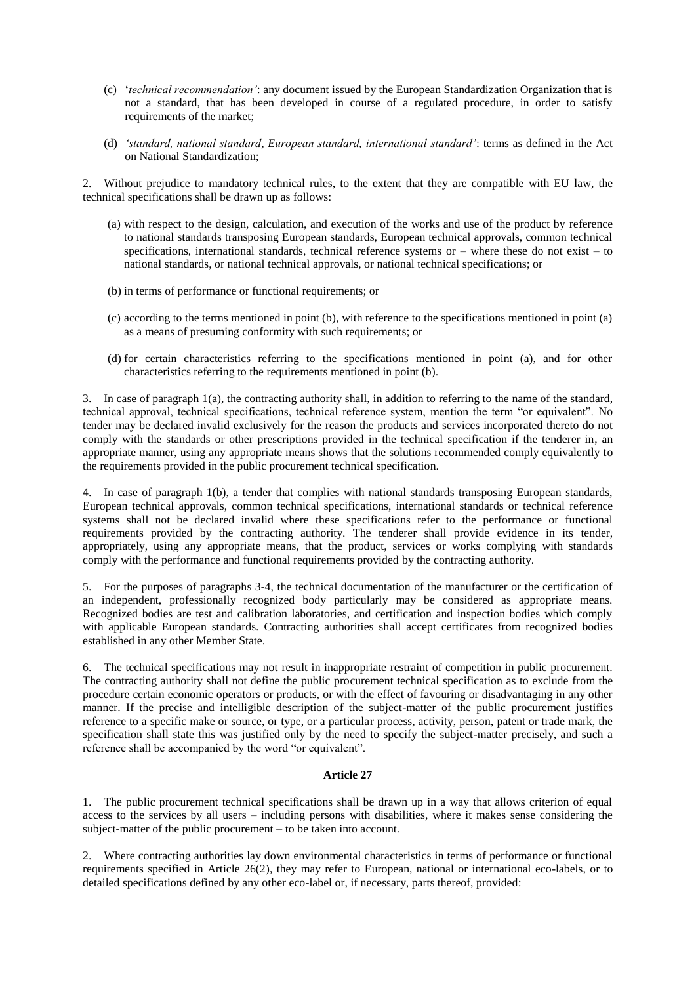- (c) "*technical recommendation'*: any document issued by the European Standardization Organization that is not a standard, that has been developed in course of a regulated procedure, in order to satisfy requirements of the market;
- (d) *'standard, national standard, European standard, international standard'*: terms as defined in the Act on National Standardization;

2. Without prejudice to mandatory technical rules, to the extent that they are compatible with EU law, the technical specifications shall be drawn up as follows:

- (a) with respect to the design, calculation, and execution of the works and use of the product by reference to national standards transposing European standards, European technical approvals, common technical specifications, international standards, technical reference systems or – where these do not exist – to national standards, or national technical approvals, or national technical specifications; or
- (b) in terms of performance or functional requirements; or
- (c) according to the terms mentioned in point (b), with reference to the specifications mentioned in point (a) as a means of presuming conformity with such requirements; or
- (d) for certain characteristics referring to the specifications mentioned in point (a), and for other characteristics referring to the requirements mentioned in point (b).

3. In case of paragraph 1(a), the contracting authority shall, in addition to referring to the name of the standard, technical approval, technical specifications, technical reference system, mention the term "or equivalent". No tender may be declared invalid exclusively for the reason the products and services incorporated thereto do not comply with the standards or other prescriptions provided in the technical specification if the tenderer in, an appropriate manner, using any appropriate means shows that the solutions recommended comply equivalently to the requirements provided in the public procurement technical specification.

4. In case of paragraph 1(b), a tender that complies with national standards transposing European standards, European technical approvals, common technical specifications, international standards or technical reference systems shall not be declared invalid where these specifications refer to the performance or functional requirements provided by the contracting authority. The tenderer shall provide evidence in its tender, appropriately, using any appropriate means, that the product, services or works complying with standards comply with the performance and functional requirements provided by the contracting authority.

5. For the purposes of paragraphs 3-4, the technical documentation of the manufacturer or the certification of an independent, professionally recognized body particularly may be considered as appropriate means. Recognized bodies are test and calibration laboratories, and certification and inspection bodies which comply with applicable European standards. Contracting authorities shall accept certificates from recognized bodies established in any other Member State.

6. The technical specifications may not result in inappropriate restraint of competition in public procurement. The contracting authority shall not define the public procurement technical specification as to exclude from the procedure certain economic operators or products, or with the effect of favouring or disadvantaging in any other manner. If the precise and intelligible description of the subject-matter of the public procurement justifies reference to a specific make or source, or type, or a particular process, activity, person, patent or trade mark, the specification shall state this was justified only by the need to specify the subject-matter precisely, and such a reference shall be accompanied by the word "or equivalent".

### **Article 27**

1. The public procurement technical specifications shall be drawn up in a way that allows criterion of equal access to the services by all users – including persons with disabilities, where it makes sense considering the subject-matter of the public procurement – to be taken into account.

2. Where contracting authorities lay down environmental characteristics in terms of performance or functional requirements specified in Article 26(2), they may refer to European, national or international eco-labels, or to detailed specifications defined by any other eco-label or, if necessary, parts thereof, provided: